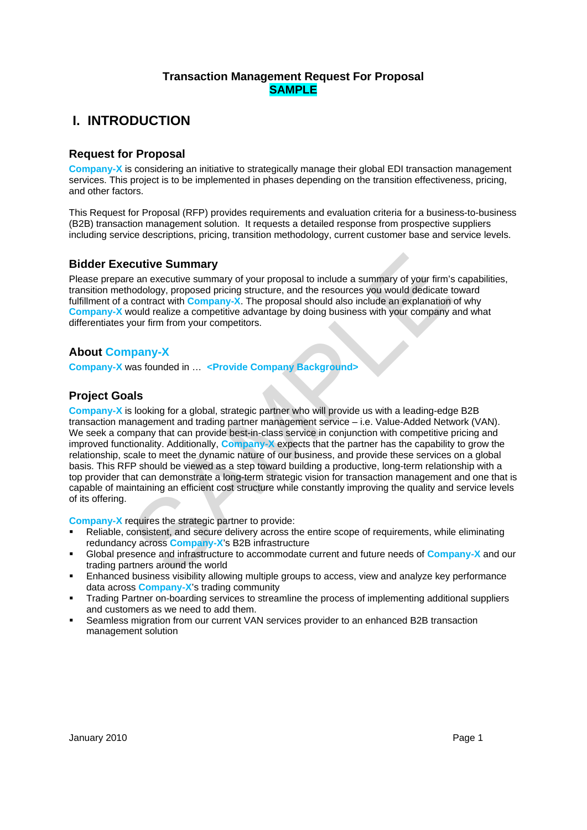# **I. INTRODUCTION**

# **Request for Proposal**

**Company-X** is considering an initiative to strategically manage their global EDI transaction management services. This project is to be implemented in phases depending on the transition effectiveness, pricing, and other factors.

This Request for Proposal (RFP) provides requirements and evaluation criteria for a business-to-business (B2B) transaction management solution. It requests a detailed response from prospective suppliers including service descriptions, pricing, transition methodology, current customer base and service levels.

## **Bidder Executive Summary**

Please prepare an executive summary of your proposal to include a summary of your firm's capabilities, transition methodology, proposed pricing structure, and the resources you would dedicate toward fulfillment of a contract with **Company-X**. The proposal should also include an explanation of why **Company-X** would realize a competitive advantage by doing business with your company and what differentiates your firm from your competitors.

# **About Company-X**

**Company-X** was founded in … **<Provide Company Background>** 

# **Project Goals**

**Cultive Summary**<br>
e an executive summary of your proposal to include a summary of your firm's capeabondology, proposed pricing structure, and the resources you would dedicate toward<br>
contract with Company-X. The proposal **Company-X** is looking for a global, strategic partner who will provide us with a leading-edge B2B transaction management and trading partner management service – i.e. Value-Added Network (VAN). We seek a company that can provide best-in-class service in conjunction with competitive pricing and improved functionality. Additionally, **Company-X** expects that the partner has the capability to grow the relationship, scale to meet the dynamic nature of our business, and provide these services on a global basis. This RFP should be viewed as a step toward building a productive, long-term relationship with a top provider that can demonstrate a long-term strategic vision for transaction management and one that is capable of maintaining an efficient cost structure while constantly improving the quality and service levels of its offering.

**Company-X** requires the strategic partner to provide:

- Reliable, consistent, and secure delivery across the entire scope of requirements, while eliminating redundancy across **Company-X**'s B2B infrastructure
- Global presence and infrastructure to accommodate current and future needs of **Company-X** and our trading partners around the world
- Enhanced business visibility allowing multiple groups to access, view and analyze key performance data across **Company-X**'s trading community
- Trading Partner on-boarding services to streamline the process of implementing additional suppliers and customers as we need to add them.
- Seamless migration from our current VAN services provider to an enhanced B2B transaction management solution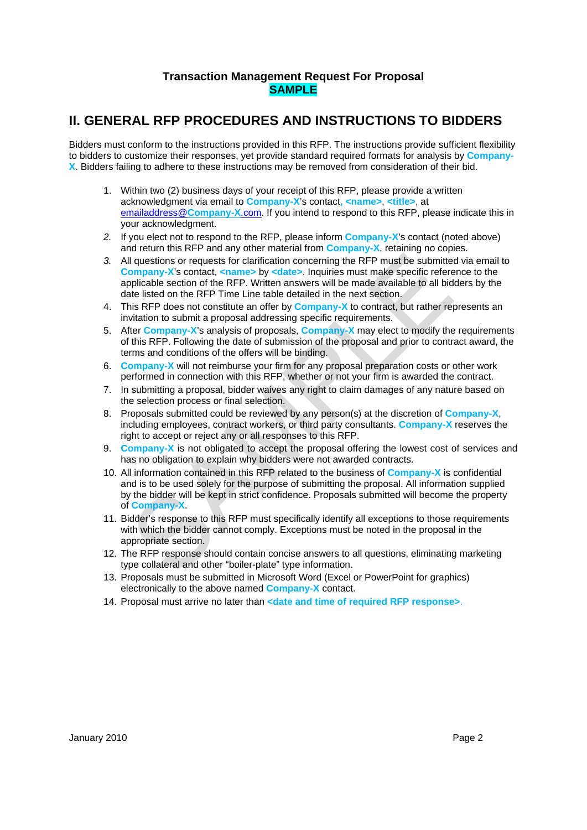# **II. GENERAL RFP PROCEDURES AND INSTRUCTIONS TO BIDDERS**

Bidders must conform to the instructions provided in this RFP. The instructions provide sufficient flexibility to bidders to customize their responses, yet provide standard required formats for analysis by **Company-X**. Bidders failing to adhere to these instructions may be removed from consideration of their bid.

- 1. Within two (2) business days of your receipt of this RFP, please provide a written acknowledgment via email to **Company-X**'s contact**, <name>**, **<title>**, at emailaddress@**Company-X**.com. If you intend to respond to this RFP, please indicate this in your acknowledgment.
- *2.* If you elect not to respond to the RFP, please inform **Company-X**'s contact (noted above) and return this RFP and any other material from **Company-X**, retaining no copies.
- Il questions or requests for clarification concerning the RFP must be submitted via<br>
or prancy-X's contact, snames by **«date**». Inquiries must make specific reference the<br>
or prancy-X's conto the RFP. Written answers will *3.* All questions or requests for clarification concerning the RFP must be submitted via email to **Company-X's contact, <name> by <date>. Inquiries must make specific reference to the** applicable section of the RFP. Written answers will be made available to all bidders by the date listed on the RFP Time Line table detailed in the next section.
- 4. This RFP does not constitute an offer by **Company-X** to contract, but rather represents an invitation to submit a proposal addressing specific requirements.
- 5. After **Company-X**'s analysis of proposals, **Company-X** may elect to modify the requirements of this RFP. Following the date of submission of the proposal and prior to contract award, the terms and conditions of the offers will be binding.
- 6. **Company-X** will not reimburse your firm for any proposal preparation costs or other work performed in connection with this RFP, whether or not your firm is awarded the contract.
- 7. In submitting a proposal, bidder waives any right to claim damages of any nature based on the selection process or final selection.
- 8. Proposals submitted could be reviewed by any person(s) at the discretion of **Company-X**, including employees, contract workers, or third party consultants. **Company-X** reserves the right to accept or reject any or all responses to this RFP.
- 9. **Company-X** is not obligated to accept the proposal offering the lowest cost of services and has no obligation to explain why bidders were not awarded contracts.
- 10. All information contained in this RFP related to the business of **Company-X** is confidential and is to be used solely for the purpose of submitting the proposal. All information supplied by the bidder will be kept in strict confidence. Proposals submitted will become the property of **Company-X**.
- 11. Bidder's response to this RFP must specifically identify all exceptions to those requirements with which the bidder cannot comply. Exceptions must be noted in the proposal in the appropriate section.
- 12. The RFP response should contain concise answers to all questions, eliminating marketing type collateral and other "boiler-plate" type information.
- 13. Proposals must be submitted in Microsoft Word (Excel or PowerPoint for graphics) electronically to the above named **Company-X** contact.
- 14. Proposal must arrive no later than **<date and time of required RFP response>**.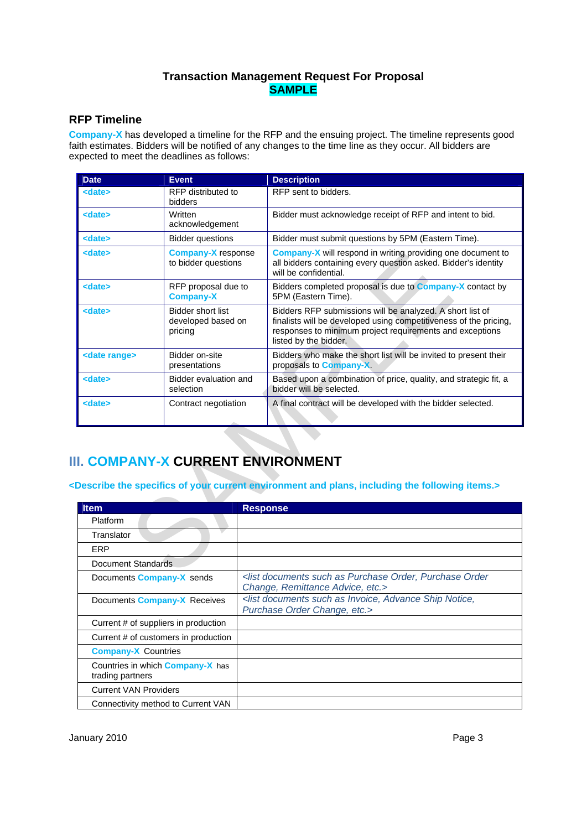## **RFP Timeline**

**Company-X** has developed a timeline for the RFP and the ensuing project. The timeline represents good faith estimates. Bidders will be notified of any changes to the time line as they occur. All bidders are expected to meet the deadlines as follows:

| <b>Date</b>                                                                                                                              | <b>Event</b>                                              | <b>Description</b>                                                                                                                                                                                                  |  |  |  |
|------------------------------------------------------------------------------------------------------------------------------------------|-----------------------------------------------------------|---------------------------------------------------------------------------------------------------------------------------------------------------------------------------------------------------------------------|--|--|--|
| <date></date>                                                                                                                            | RFP distributed to<br>bidders                             | RFP sent to bidders.                                                                                                                                                                                                |  |  |  |
| <date></date>                                                                                                                            | Written<br>acknowledgement                                | Bidder must acknowledge receipt of RFP and intent to bid.                                                                                                                                                           |  |  |  |
| <date></date>                                                                                                                            | <b>Bidder questions</b>                                   | Bidder must submit questions by 5PM (Eastern Time).                                                                                                                                                                 |  |  |  |
| <date></date>                                                                                                                            | <b>Company-X</b> response<br>to bidder questions          | <b>Company-X</b> will respond in writing providing one document to<br>all bidders containing every question asked. Bidder's identity<br>will be confidential.                                                       |  |  |  |
| <date></date>                                                                                                                            | RFP proposal due to<br><b>Company-X</b>                   | Bidders completed proposal is due to <b>Company-X</b> contact by<br>5PM (Eastern Time).                                                                                                                             |  |  |  |
| <date></date>                                                                                                                            | <b>Bidder short list</b><br>developed based on<br>pricing | Bidders RFP submissions will be analyzed. A short list of<br>finalists will be developed using competitiveness of the pricing,<br>responses to minimum project requirements and exceptions<br>listed by the bidder. |  |  |  |
| <date range=""></date>                                                                                                                   | Bidder on-site<br>presentations                           | Bidders who make the short list will be invited to present their<br>proposals to <b>Company-X</b> .                                                                                                                 |  |  |  |
| <date></date>                                                                                                                            | Bidder evaluation and<br>selection                        | Based upon a combination of price, quality, and strategic fit, a<br>bidder will be selected.                                                                                                                        |  |  |  |
| <date></date>                                                                                                                            | Contract negotiation                                      | A final contract will be developed with the bidder selected.                                                                                                                                                        |  |  |  |
| <b>I. COMPANY-X CURRENT ENVIRONMENT</b><br>Describe the specifics of your current environment and plans, including the following items.> |                                                           |                                                                                                                                                                                                                     |  |  |  |
| <b>Item</b>                                                                                                                              | <b>Response</b>                                           |                                                                                                                                                                                                                     |  |  |  |
| Platform                                                                                                                                 |                                                           |                                                                                                                                                                                                                     |  |  |  |
| Translator                                                                                                                               |                                                           |                                                                                                                                                                                                                     |  |  |  |
| <b>ERP</b>                                                                                                                               |                                                           |                                                                                                                                                                                                                     |  |  |  |
| <b>Document Standards</b>                                                                                                                |                                                           |                                                                                                                                                                                                                     |  |  |  |
| Decumente Componis V conde                                                                                                               |                                                           | List documents such as Purchase Order, Purchase Order                                                                                                                                                               |  |  |  |

# **III. COMPANY-X CURRENT ENVIRONMENT**

| <b>Item</b>                                                 | <b>Response</b>                                                                                                      |
|-------------------------------------------------------------|----------------------------------------------------------------------------------------------------------------------|
| Platform                                                    |                                                                                                                      |
| Translator                                                  |                                                                                                                      |
| ERP                                                         |                                                                                                                      |
| Document Standards                                          |                                                                                                                      |
| Documents <b>Company-X</b> sends                            | <list as="" documents="" order,="" order<br="" purchase="" such="">Change, Remittance Advice, etc.&gt;</list>        |
| Documents <b>Company-X</b> Receives                         | <list advance="" as="" documents="" invoice,="" notice,<br="" ship="" such="">Purchase Order Change, etc.&gt;</list> |
| Current # of suppliers in production                        |                                                                                                                      |
| Current # of customers in production                        |                                                                                                                      |
| <b>Company-X Countries</b>                                  |                                                                                                                      |
| Countries in which <b>Company-X</b> has<br>trading partners |                                                                                                                      |
| <b>Current VAN Providers</b>                                |                                                                                                                      |
| Connectivity method to Current VAN                          |                                                                                                                      |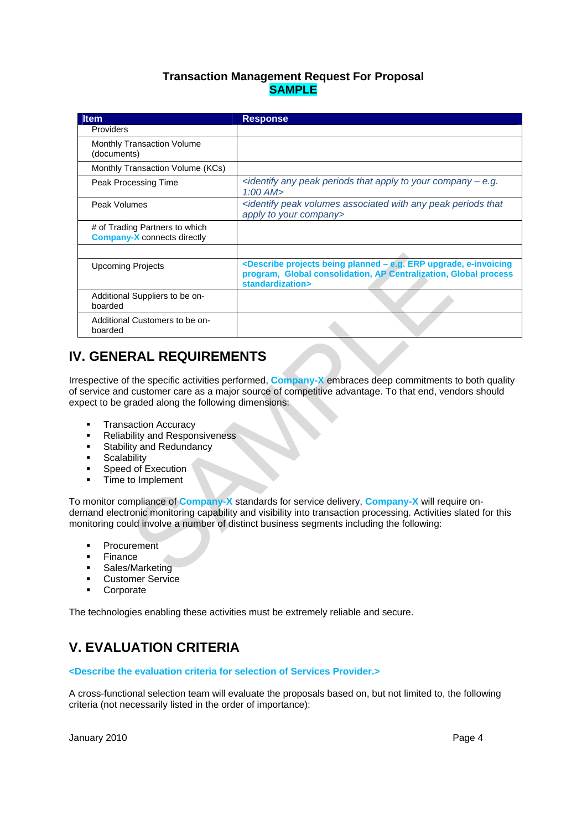| <b>Item</b>                                                                                                                                                                                                                                                                                                                                                                                                                                                                                                                                                                                               | <b>Response</b>                                                                                                                                                                                 |  |  |  |
|-----------------------------------------------------------------------------------------------------------------------------------------------------------------------------------------------------------------------------------------------------------------------------------------------------------------------------------------------------------------------------------------------------------------------------------------------------------------------------------------------------------------------------------------------------------------------------------------------------------|-------------------------------------------------------------------------------------------------------------------------------------------------------------------------------------------------|--|--|--|
| Providers                                                                                                                                                                                                                                                                                                                                                                                                                                                                                                                                                                                                 |                                                                                                                                                                                                 |  |  |  |
| Monthly Transaction Volume<br>(documents)                                                                                                                                                                                                                                                                                                                                                                                                                                                                                                                                                                 |                                                                                                                                                                                                 |  |  |  |
| Monthly Transaction Volume (KCs)                                                                                                                                                                                                                                                                                                                                                                                                                                                                                                                                                                          |                                                                                                                                                                                                 |  |  |  |
| Peak Processing Time                                                                                                                                                                                                                                                                                                                                                                                                                                                                                                                                                                                      | <identify -="" any="" apply="" company="" e.g.<br="" peak="" periods="" that="" to="" your=""><math>1:00</math> AM<math>&gt;</math></identify>                                                  |  |  |  |
| Peak Volumes                                                                                                                                                                                                                                                                                                                                                                                                                                                                                                                                                                                              | <identify any="" associated="" peak="" periods="" that<br="" volumes="" with="">apply to your company&gt;</identify>                                                                            |  |  |  |
| # of Trading Partners to which<br><b>Company-X</b> connects directly                                                                                                                                                                                                                                                                                                                                                                                                                                                                                                                                      |                                                                                                                                                                                                 |  |  |  |
| <b>Upcoming Projects</b>                                                                                                                                                                                                                                                                                                                                                                                                                                                                                                                                                                                  | <describe -="" being="" e-invoicing<br="" e.g.="" erp="" planned="" projects="" upgrade,="">program, Global consolidation, AP Centralization, Global process<br/>standardization&gt;</describe> |  |  |  |
| Additional Suppliers to be on-<br>boarded                                                                                                                                                                                                                                                                                                                                                                                                                                                                                                                                                                 |                                                                                                                                                                                                 |  |  |  |
| Additional Customers to be on-<br>boarded                                                                                                                                                                                                                                                                                                                                                                                                                                                                                                                                                                 |                                                                                                                                                                                                 |  |  |  |
| <b>V. GENERAL REQUIREMENTS</b><br>respective of the specific activities performed, <b>Company-X</b> embraces deep commitments to both quality<br>f service and customer care as a major source of competitive advantage. To that end, vendors should<br>xpect to be graded along the following dimensions:<br><b>Transaction Accuracy</b><br>٠<br><b>Reliability and Responsiveness</b><br>Stability and Redundancy<br>$\blacksquare$<br>Scalability<br>٠<br>Speed of Execution<br>٠<br>Time to Implement<br>o monitor compliance of Company-X standards for service delivery, Company-X will require on- |                                                                                                                                                                                                 |  |  |  |
| emand electronic monitoring capability and visibility into transaction processing. Activities slated for this<br>ionitoring could involve a number of distinct business segments including the following:                                                                                                                                                                                                                                                                                                                                                                                                 |                                                                                                                                                                                                 |  |  |  |
| Procurement<br>Finance<br>Sales/Marketing                                                                                                                                                                                                                                                                                                                                                                                                                                                                                                                                                                 |                                                                                                                                                                                                 |  |  |  |

# **IV. GENERAL REQUIREMENTS**

- **Transaction Accuracy**
- **Reliability and Responsiveness**
- **Stability and Redundancy**
- **Scalability**
- Speed of Execution
- **Time to Implement**

- Procurement
- Finance
- Sales/Marketing
- Customer Service
- Corporate

The technologies enabling these activities must be extremely reliable and secure.

# **V. EVALUATION CRITERIA**

#### **<Describe the evaluation criteria for selection of Services Provider.>**

A cross-functional selection team will evaluate the proposals based on, but not limited to, the following criteria (not necessarily listed in the order of importance):

January 2010 **Page 4**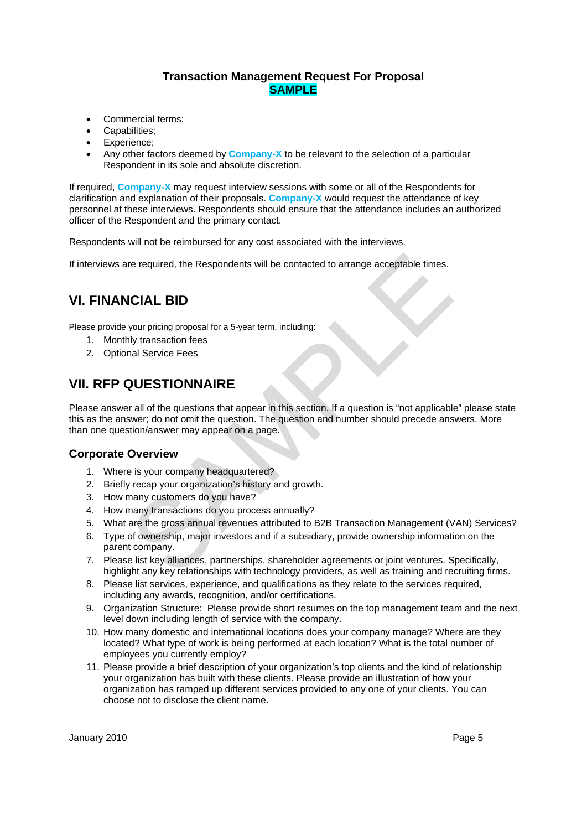- Commercial terms:
- Capabilities;
- Experience:
- Any other factors deemed by **Company-X** to be relevant to the selection of a particular Respondent in its sole and absolute discretion.

If required, **Company-X** may request interview sessions with some or all of the Respondents for clarification and explanation of their proposals. **Company-X** would request the attendance of key personnel at these interviews. Respondents should ensure that the attendance includes an authorized officer of the Respondent and the primary contact.

Respondents will not be reimbursed for any cost associated with the interviews.

If interviews are required, the Respondents will be contacted to arrange acceptable times.

# **VI. FINANCIAL BID**

Please provide your pricing proposal for a 5-year term, including:

- 1. Monthly transaction fees
- 2. Optional Service Fees

# **VII. RFP QUESTIONNAIRE**

re required, the Respondents will be contacted to arrange acceptable times.<br>
CIAL BID<br>
your pricing proposal for a 5-year term, including:<br>
hy transaction fees<br>
and Service Fees<br>
SUESTIONNAIRE<br>
rall of the questions that a Please answer all of the questions that appear in this section. If a question is "not applicable" please state this as the answer; do not omit the question. The question and number should precede answers. More than one question/answer may appear on a page.

## **Corporate Overview**

- 1. Where is your company headquartered?
- 2. Briefly recap your organization's history and growth.
- 3. How many customers do you have?
- 4. How many transactions do you process annually?
- 5. What are the gross annual revenues attributed to B2B Transaction Management (VAN) Services?
- 6. Type of ownership, major investors and if a subsidiary, provide ownership information on the parent company.
- 7. Please list key alliances, partnerships, shareholder agreements or joint ventures. Specifically, highlight any key relationships with technology providers, as well as training and recruiting firms.
- 8. Please list services, experience, and qualifications as they relate to the services required, including any awards, recognition, and/or certifications.
- 9. Organization Structure: Please provide short resumes on the top management team and the next level down including length of service with the company.
- 10. How many domestic and international locations does your company manage? Where are they located? What type of work is being performed at each location? What is the total number of employees you currently employ?
- 11. Please provide a brief description of your organization's top clients and the kind of relationship your organization has built with these clients. Please provide an illustration of how your organization has ramped up different services provided to any one of your clients. You can choose not to disclose the client name.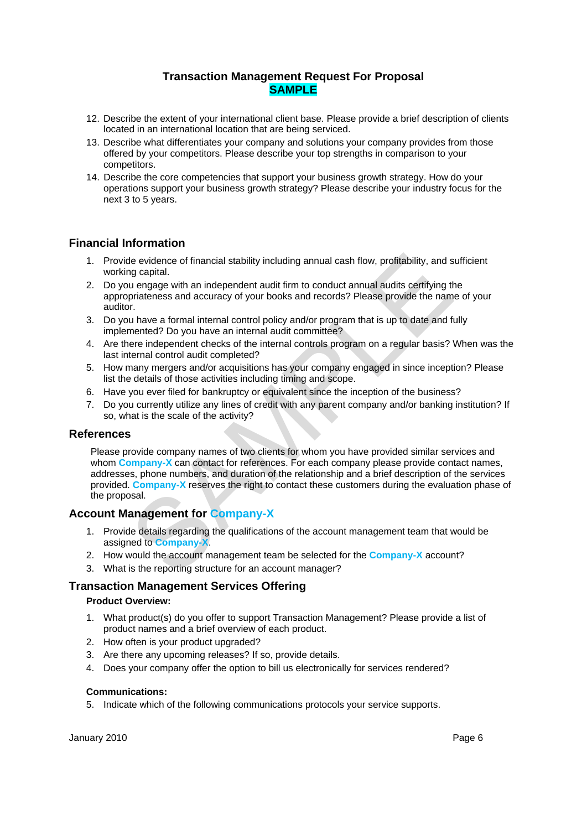- 12. Describe the extent of your international client base. Please provide a brief description of clients located in an international location that are being serviced.
- 13. Describe what differentiates your company and solutions your company provides from those offered by your competitors. Please describe your top strengths in comparison to your competitors.
- 14. Describe the core competencies that support your business growth strategy. How do your operations support your business growth strategy? Please describe your industry focus for the next 3 to 5 years.

# **Financial Information**

- 1. Provide evidence of financial stability including annual cash flow, profitability, and sufficient working capital.
- 2. Do you engage with an independent audit firm to conduct annual audits certifying the appropriateness and accuracy of your books and records? Please provide the name of your auditor.
- 3. Do you have a formal internal control policy and/or program that is up to date and fully implemented? Do you have an internal audit committee?
- 4. Are there independent checks of the internal controls program on a regular basis? When was the last internal control audit completed?
- 5. How many mergers and/or acquisitions has your company engaged in since inception? Please list the details of those activities including timing and scope.
- 6. Have you ever filed for bankruptcy or equivalent since the inception of the business?
- 7. Do you currently utilize any lines of credit with any parent company and/or banking institution? If so, what is the scale of the activity?

## **References**

the evidence of financial stability including annual cash flow, profitability, and sufficial<br>or grapital.<br>The grapital ending that internal control and records? Please provide the name of y<br>priateness and accuracy of your Please provide company names of two clients for whom you have provided similar services and whom **Company-X** can contact for references. For each company please provide contact names, addresses, phone numbers, and duration of the relationship and a brief description of the services provided. **Company-X** reserves the right to contact these customers during the evaluation phase of the proposal.

## **Account Management for Company-X**

- 1. Provide details regarding the qualifications of the account management team that would be assigned to **Company-X**.
- 2. How would the account management team be selected for the **Company-X** account?
- 3. What is the reporting structure for an account manager?

## **Transaction Management Services Offering**

## **Product Overview:**

- 1. What product(s) do you offer to support Transaction Management? Please provide a list of product names and a brief overview of each product.
- 2. How often is your product upgraded?
- 3. Are there any upcoming releases? If so, provide details.
- 4. Does your company offer the option to bill us electronically for services rendered?

#### **Communications:**

5. Indicate which of the following communications protocols your service supports.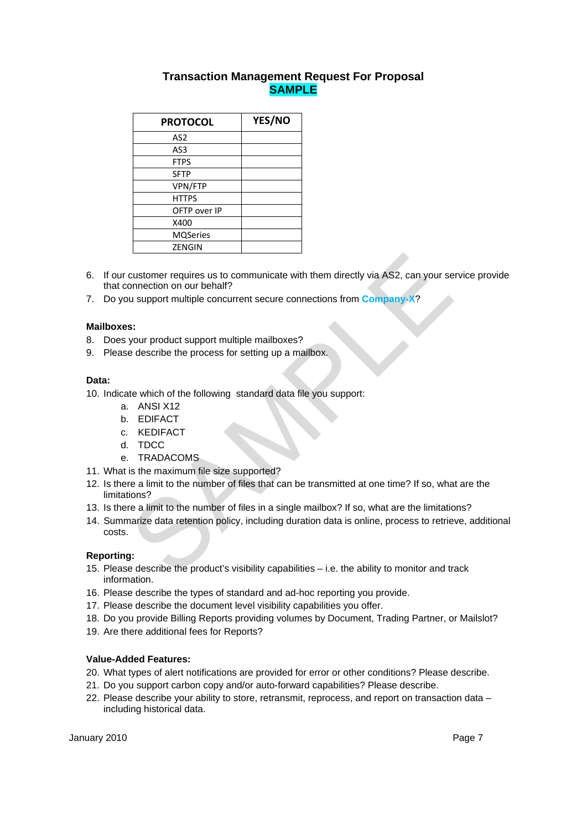| <b>PROTOCOL</b> | YES/NO |
|-----------------|--------|
| AS2             |        |
| AS3             |        |
| <b>FTPS</b>     |        |
| <b>SFTP</b>     |        |
| VPN/FTP         |        |
| <b>HTTPS</b>    |        |
| OFTP over IP    |        |
| X400            |        |
| <b>MQSeries</b> |        |
| ZENGIN          |        |

- 6. If our customer requires us to communicate with them directly via AS2, can your service provide that connection on our behalf?
- 7. Do you support multiple concurrent secure connections from **Company-X**?

## **Mailboxes:**

- 8. Does your product support multiple mailboxes?
- 9. Please describe the process for setting up a mailbox.

#### **Data:**

10. Indicate which of the following standard data file you support:

- a. ANSI X12
- b. EDIFACT
- c. KEDIFACT
- d. TDCC
- e. TRADACOMS
- 11. What is the maximum file size supported?
- Customer requires us to communicate with them directly via AS2, can your service<br>
susupport multiple concurrent secure connections from Company-X?<br>
s:<br>
s:<br>
s:<br>
s:<br>
e describe the process for setting up a mailbox.<br>
te which 12. Is there a limit to the number of files that can be transmitted at one time? If so, what are the limitations?
- 13. Is there a limit to the number of files in a single mailbox? If so, what are the limitations?
- 14. Summarize data retention policy, including duration data is online, process to retrieve, additional costs.

#### **Reporting:**

- 15. Please describe the product's visibility capabilities i.e. the ability to monitor and track information.
- 16. Please describe the types of standard and ad-hoc reporting you provide.
- 17. Please describe the document level visibility capabilities you offer.
- 18. Do you provide Billing Reports providing volumes by Document, Trading Partner, or Mailslot?
- 19. Are there additional fees for Reports?

#### **Value-Added Features:**

- 20. What types of alert notifications are provided for error or other conditions? Please describe.
- 21. Do you support carbon copy and/or auto-forward capabilities? Please describe.
- 22. Please describe your ability to store, retransmit, reprocess, and report on transaction data including historical data.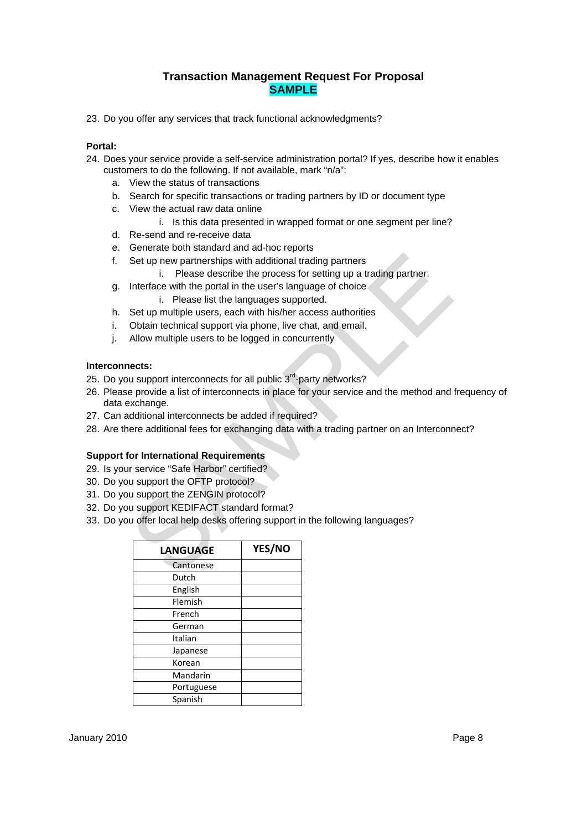23. Do you offer any services that track functional acknowledgments?

#### **Portal:**

- 24. Does your service provide a self-service administration portal? If yes, describe how it enables customers to do the following. If not available, mark "n/a":
	- a. View the status of transactions
	- b. Search for specific transactions or trading partners by ID or document type
	- c. View the actual raw data online
		- i. Is this data presented in wrapped format or one segment per line?
	- d. Re-send and re-receive data
	- e. Generate both standard and ad-hoc reports
	- f. Set up new partnerships with additional trading partners
		- i. Please describe the process for setting up a trading partner.
	- g. Interface with the portal in the user's language of choice
		- i. Please list the languages supported.
	- h. Set up multiple users, each with his/her access authorities
	- i. Obtain technical support via phone, live chat, and email.
	- j. Allow multiple users to be logged in concurrently

## **Interconnects:**

- 25. Do you support interconnects for all public 3<sup>rd</sup>-party networks?
- Set up new partnerships with additional trading partners<br>
i. Please describe the process for setting up a trading partner.<br>
Interface with the portal in the user's language of choice<br>
i. Please list the languages supported 26. Please provide a list of interconnects in place for your service and the method and frequency of data exchange.
- 27. Can additional interconnects be added if required?
- 28. Are there additional fees for exchanging data with a trading partner on an Interconnect?

## **Support for International Requirements**

- 29. Is your service "Safe Harbor" certified?
- 30. Do you support the OFTP protocol?
- 31. Do you support the ZENGIN protocol?
- 32. Do you support KEDIFACT standard format?
- 33. Do you offer local help desks offering support in the following languages?

| <b>LANGUAGE</b> | YES/NO |
|-----------------|--------|
| Cantonese       |        |
| Dutch           |        |
| English         |        |
| Flemish         |        |
| French          |        |
| German          |        |
| Italian         |        |
| Japanese        |        |
| Korean          |        |
| Mandarin        |        |
| Portuguese      |        |
| Spanish         |        |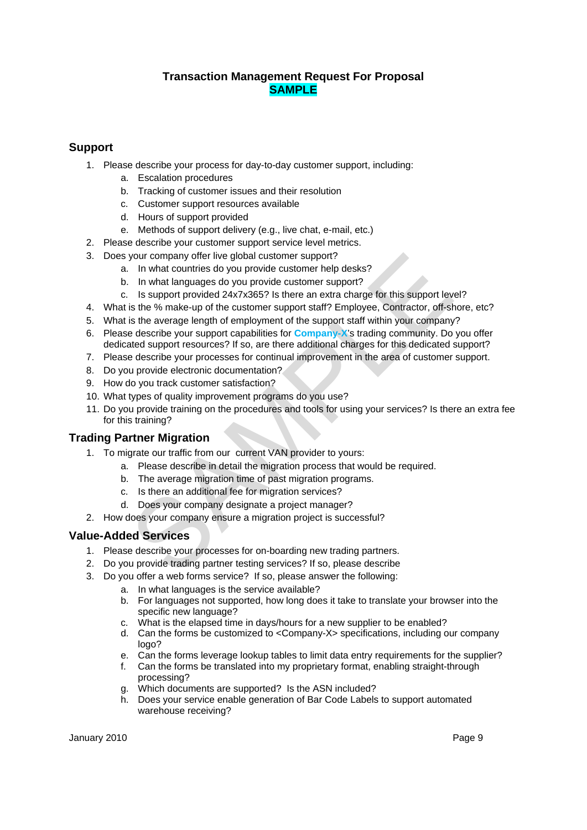# **Support**

- 1. Please describe your process for day-to-day customer support, including:
	- a. Escalation procedures
	- b. Tracking of customer issues and their resolution
	- c. Customer support resources available
	- d. Hours of support provided
	- e. Methods of support delivery (e.g., live chat, e-mail, etc.)
- 2. Please describe your customer support service level metrics.
- 3. Does your company offer live global customer support?
	- a. In what countries do you provide customer help desks?
	- b. In what languages do you provide customer support?
	- c. Is support provided 24x7x365? Is there an extra charge for this support level?
- 4. What is the % make-up of the customer support staff? Employee, Contractor, off-shore, etc?
- 5. What is the average length of employment of the support staff within your company?
- 6. Please describe your support capabilities for **Company-X**'s trading community. Do you offer dedicated support resources? If so, are there additional charges for this dedicated support?
- 7. Please describe your processes for continual improvement in the area of customer support.
- 8. Do you provide electronic documentation?
- 9. How do you track customer satisfaction?
- 10. What types of quality improvement programs do you use?
- In what countries global customer support?<br>
In what languages do you provide customer help desks?<br>
In what languages do you provide customer support?<br>
Is support level?<br>
Is support provided 24x7x365? Is there an extra char 11. Do you provide training on the procedures and tools for using your services? Is there an extra fee for this training?

## **Trading Partner Migration**

- 1. To migrate our traffic from our current VAN provider to yours:
	- a. Please describe in detail the migration process that would be required.
	- b. The average migration time of past migration programs.
	- c. Is there an additional fee for migration services?
	- d. Does your company designate a project manager?
- 2. How does your company ensure a migration project is successful?

## **Value-Added Services**

- 1. Please describe your processes for on-boarding new trading partners.
- 2. Do you provide trading partner testing services? If so, please describe
- 3. Do you offer a web forms service? If so, please answer the following:
	- a. In what languages is the service available?
	- b. For languages not supported, how long does it take to translate your browser into the specific new language?
	- c. What is the elapsed time in days/hours for a new supplier to be enabled?
	- d. Can the forms be customized to <Company-X> specifications, including our company logo?
	- e. Can the forms leverage lookup tables to limit data entry requirements for the supplier?
	- f. Can the forms be translated into my proprietary format, enabling straight-through processing?
	- g. Which documents are supported? Is the ASN included?
	- h. Does your service enable generation of Bar Code Labels to support automated warehouse receiving?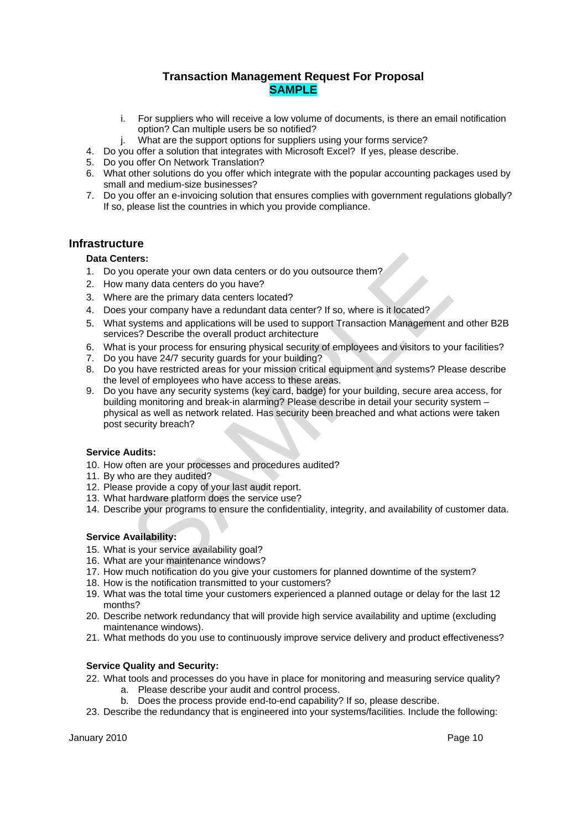- i. For suppliers who will receive a low volume of documents, is there an email notification option? Can multiple users be so notified?
- j. What are the support options for suppliers using your forms service?
- 4. Do you offer a solution that integrates with Microsoft Excel? If yes, please describe.
- 5. Do you offer On Network Translation?
- 6. What other solutions do you offer which integrate with the popular accounting packages used by small and medium-size businesses?
- 7. Do you offer an e-invoicing solution that ensures complies with government regulations globally? If so, please list the countries in which you provide compliance.

## **Infrastructure**

## **Data Centers:**

- 1. Do you operate your own data centers or do you outsource them?
- 2. How many data centers do you have?
- 3. Where are the primary data centers located?
- 4. Does your company have a redundant data center? If so, where is it located?
- 5. What systems and applications will be used to support Transaction Management and other B2B services? Describe the overall product architecture
- 6. What is your process for ensuring physical security of employees and visitors to your facilities?
- 7. Do you have 24/7 security guards for your building?
- 8. Do you have restricted areas for your mission critical equipment and systems? Please describe the level of employees who have access to these areas.
- ters:<br>
ters:<br>
to perate your own data centers or do you outsource them?<br>
Your anary data centers do you have?<br>
sare the primary data centers located?<br>
Syour company have a redundant data center? If so, where is it located? 9. Do you have any security systems (key card, badge) for your building, secure area access, for building monitoring and break-in alarming? Please describe in detail your security system – physical as well as network related. Has security been breached and what actions were taken post security breach?

## **Service Audits:**

- 10. How often are your processes and procedures audited?
- 11. By who are they audited?
- 12. Please provide a copy of your last audit report.
- 13. What hardware platform does the service use?
- 14. Describe your programs to ensure the confidentiality, integrity, and availability of customer data.

## **Service Availability:**

- 15. What is your service availability goal?
- 16. What are your maintenance windows?
- 17. How much notification do you give your customers for planned downtime of the system?
- 18. How is the notification transmitted to your customers?
- 19. What was the total time your customers experienced a planned outage or delay for the last 12 months?
- 20. Describe network redundancy that will provide high service availability and uptime (excluding maintenance windows).
- 21. What methods do you use to continuously improve service delivery and product effectiveness?

## **Service Quality and Security:**

- 22. What tools and processes do you have in place for monitoring and measuring service quality?
	- a. Please describe your audit and control process.
	- b. Does the process provide end-to-end capability? If so, please describe.
- 23. Describe the redundancy that is engineered into your systems/facilities. Include the following: